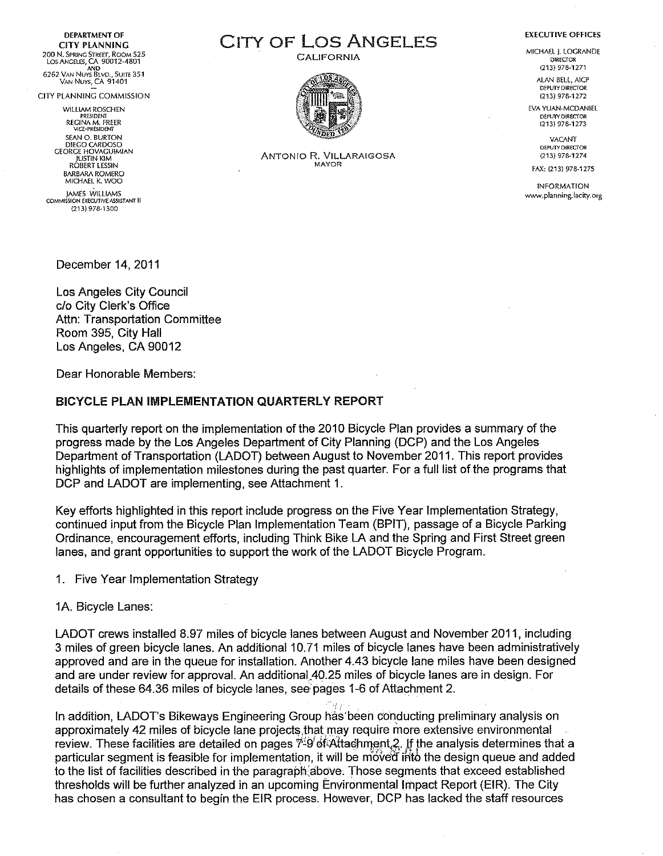**DEPARTMENT OF CITY PLANNING** LOS ANGELES, CA 90012-4801<br>AND AND AND AND 6262 VAN Nuys Blvd., Suite 351 VAN NUYS, CA 91401

CITY PLANNING COMMISSION

WILLIAM ROSCHEN PRESIDENT REGINA M. FREER VICE-PRE5lDENT SEAN O. BURTON<br>DIEGO CARDOSO<br>GEORGE HOVAGUIMIAN<br>ROBERT LESSIN<br>ROBERT LESSIN BARBARA ROMERO<br>MICHAEL K. WOO

)AMES WilliAMS COMMISSION EXECUTIVE ASSISfANTII (213) 978-1300

CITY OF LOS ANGELES

**CALIFORNIA** 



ANTONIO R. VILLARAIGOSA MAYOR

**EXECUTIVE OFFICES** 

MICHAEL j. LOGRANDE D!RECfOR (213) 978-1271

> AlAN BELL, AlCP DEPUTY DIRECTOR (213) 978-1272

EVA YUAN-MCDANIEL D!:PUlY DIRECfOR 1213)978-1273

> **VACANT** DEPUTY DIRECTOR (213) 978-1274

FAX: {213) 978-1275

INFORMATION www.planning.ladty.org

December 14, 2011

Los Angeles City Council c/o City Clerk's Office Attn: Transportation Committee Room 395, City Hall Los Angeles, CA 90012

Dear Honorable Members:

#### BICYCLE PLAN IMPLEMENTATION QUARTERLY REPORT

This quarterly report on the implementation of the 2010 Bicycle Plan provides a summary of the progress made by the Los Angeles Department of City Planning (DCP) and the Los Angeles Department of Transportation (LADOT) between August to November 2011. This report provides highlights of implementation milestones during the past quarter. For a full list of the programs that DCP and LADOT are implementing, see Attachment 1.

Key efforts highlighted in this report include progress on the Five Year Implementation Strategy, continued input from the Bicycle Plan Implementation Team (BPIT), passage of a Bicycle Parking Ordinance, encouragement efforts, including Think Bike LA and the Spring and First Street green lanes, and grant opportunities to support the work of the LADOT Bicycle Program.

1. Five Year Implementation Strategy

1A. Bicycle Lanes:

LADOT crews installed 8.97 miles of bicycle lanes between August and November 2011, including 3 miles of green bicycle lanes. An additional 10.71 miles of bicycle lanes have been administratively approved and are in the queue for installation. Another 4.43 bicycle lane miles have been designed and are under review for approval. An additional 40.25 miles of bicycle lanes are in design. For details of these 64.36 miles of bicycle lanes, see pages 1-6 of Attachment 2.

In addition, LADOT's Bikeways Engineering Group has· been conducting preliminary analysis on approximately 42 miles of bicycle lane projects that may require more extensive environmental review. These facilities are detailed on pages  $\ddot{\gamma}$ -9 of Attachment 2. If the analysis determines that a particular segment is feasible for implementation, it will be moved in the design queue and added to the list of facilities described in the paragraph above. Those segments that exceed established thresholds will be further analyzed in an upcoming Environmental Impact Report (EIR). The City has chosen a consultant to begin the EIR process. However, DCP has lacked the staff resources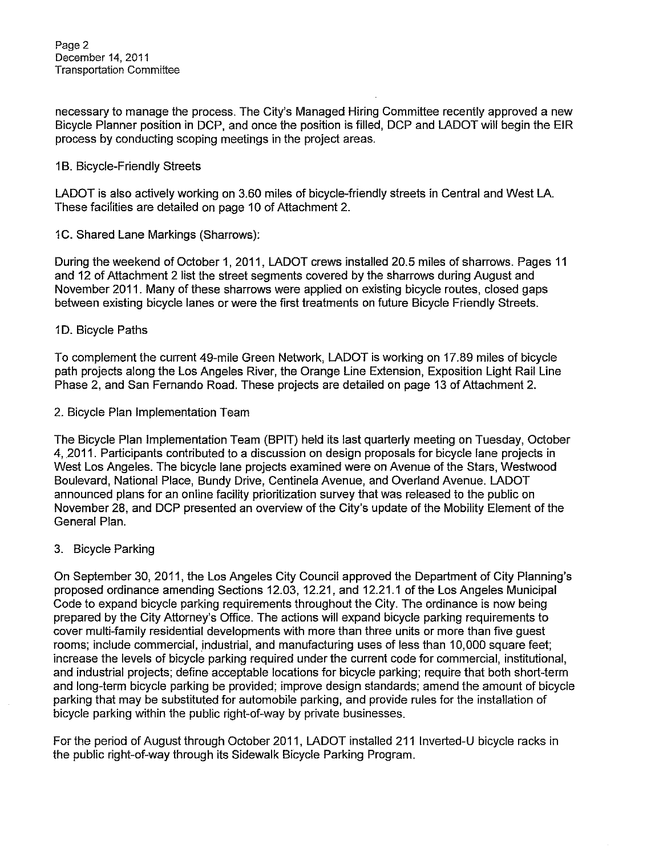necessary to manage the process. The City's Managed Hiring Committee recently approved a new Bicycle Planner position in DCP, and once the position is filled, DCP and LADOT will begin the EIR process by conducting seeping meetings in the project areas.

### 1B. Bicycle-Friendly Streets

LADOT is also actively working on 3.60 miles of bicycle-friendly streets in Central and West LA. These facilities are detailed on page 10 of Attachment 2.

1C. Shared Lane Markings (Sharrows):

During the weekend of October 1, 2011, LADOT crews installed 20.5 miles of sharrows. Pages 11 and 12 of Attachment 2 list the street segments covered by the sharrows during August and November 2011. Many of these sharrows were applied on existing bicycle routes, closed gaps between existing bicycle lanes or were the first treatments on future Bicycle Friendly Streets.

### 1D. Bicycle Paths

To complement the current 49-mile Green Network, LADOT is working on 17.89 miles of bicycle path projects along the Los Angeles River, the Orange Line Extension, Exposition Light Rail Line Phase 2, and San Fernando Road. These projects are detailed on page 13 of Attachment 2.

2. Bicycle Plan Implementation Team

The Bicycle Plan Implementation Team (BPIT) held its last quarterly meeting on Tuesday, October 4, 2011. Participants contributed to a discussion on design proposals for bicycle lane projects in West Los Angeles. The bicycle lane projects examined were on Avenue of the Stars, Westwood Boulevard, National Place, Bundy Drive, Centinela Avenue, and Overland Avenue. LADOT announced plans for an online facility prioritization survey that was released to the public on November 28, and DCP presented an overview of the City's update of the Mobility Element of the General Plan.

## 3. Bicycle Parking

On September 30, 2011, the Los Angeles City Council approved the Department of City Planning's proposed ordinance amending Sections 12.03, 12.21, and 12.21,1 of the Los Angeles Municipal Code to expand bicycle parking requirements throughout the City, The ordinance is now being prepared by the City Attorney's Office. The actions will expand bicycle parking requirements to cover multi-family residential developments with more than three units or more than five guest rooms; include commercial, industrial, and manufacturing uses of less than 10,000 square feet; increase the levels of bicycle parking required under the current code for commercial, institutional, and industrial projects; define acceptable locations for bicycle parking; require that both short-term and long-term bicycle parking be provided; improve design standards; amend the amount of bicycle parking that may be substituted for automobile parking, and provide rules for the installation of bicycle parking within the public right-of-way by private businesses.

For the period of August through October 2011, LADOT installed 211 lnverted-U bicycle racks in the public right-of-way through its Sidewalk Bicycle Parking Program.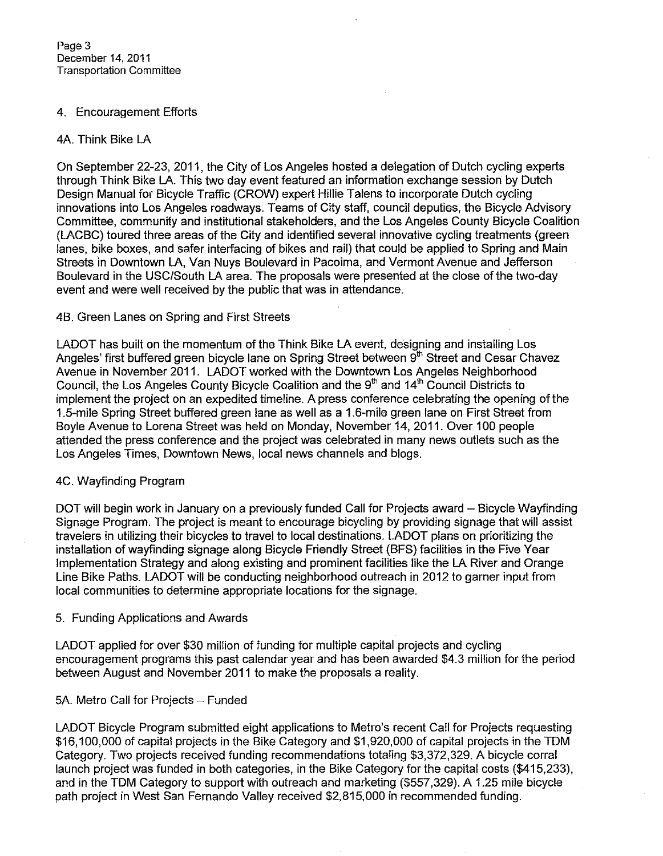### 4. Encouragement Efforts

### 4A. Think Bike LA

On September 22-23, 2011, the City of Los Angeles hosted a delegation of Dutch cycling experts through Think Bike LA. This two day event featured an information exchange session by Dutch Design Manual for Bicycle Traffic (CROW) expert Hillie Talens to incorporate Dutch cycling innovations into Los Angeles roadways. Teams of City staff, council deputies, the Bicycle Advisory Committee, community and institutional stakeholders, and the Los Angeles County Bicycle Coalition (LACBC) toured three areas of the City and identified several innovative cycling treatments (green lanes, bike boxes, and safer interfacing of bikes and rail) that could be applied to Spring and Main Streets in Downtown LA, Van Nuys Boulevard in Pacoima, and Vermont Avenue and Jefferson Boulevard in the USC/South LA area. The proposals were presented at the close of the two-day event and were well received by the public that was in attendance.

#### 4B. Green Lanes on Spring and First Streets

LADOT has built on the momentum of the Think Bike LA event, designing and installing Los Angeles' first buffered green bicycle lane on Spring Street between  $9^{\text{th}}$  Street and Cesar Chavez Avenue in November 2011. LADOT worked with the Downtown Los Angeles Neighborhood Council, the Los Angeles County Bicycle Coalition and the 9<sup>th</sup> and 14<sup>th</sup> Council Districts to implement the project on an expedited timeline. A press conference celebrating the opening of the 1 .5-mile Spring Street buffered green lane as well as a 1 .6-mile green lane on First Street from Boyle Avenue to Lorena Street was held on Monday, November 14, 2011. Over 100 people attended the press conference and the project was celebrated in many news outlets such as the Los Angeles Times, Downtown News, local news channels and blogs.

## 4C. Wayfinding Program

DOT will begin work in January on a previously funded Call for Projects award - Bicycle Wayfinding Signage Program. The project is meant to encourage bicycling by providing signage that will assist travelers in utilizing their bicycles to travel to local destinations. LADOT plans on prioritizing the installation of wayfinding signage along Bicycle Friendly Street (BFS) facilities in the Five Year Implementation Strategy and along existing and prominent facilities like the LA River and Orange Line Bike Paths. LADOT will be conducting neighborhood outreach in 2012 to garner input from local communities to determine appropriate locations for the signage.

#### 5. Funding Applications and Awards

LADOT applied for over \$30 million of funding for multiple capital projects and cycling encouragement programs this past calendar year and has been awarded \$4.3 million for the period between August and November 2011 to make the proposals a reality.

## 5A. Metro Call for Projects - Funded

LADOT Bicycle Program submitted eight applications to Metro's recent Call for Projects requesting \$16,100,000 of capital projects in the Bike Category and \$1,920,000 of capital projects in the TDM Category. Two projects received funding recommendations totaling \$3,372,329. A bicycle corral launch project was funded in both categories, in the Bike Category for the capital costs (\$415,233), and in the TDM Category to support with outreach and marketing (\$557,329). A 1.25 mile bicycle path project in West San Fernando Valley received \$2,815,000 in recommended funding.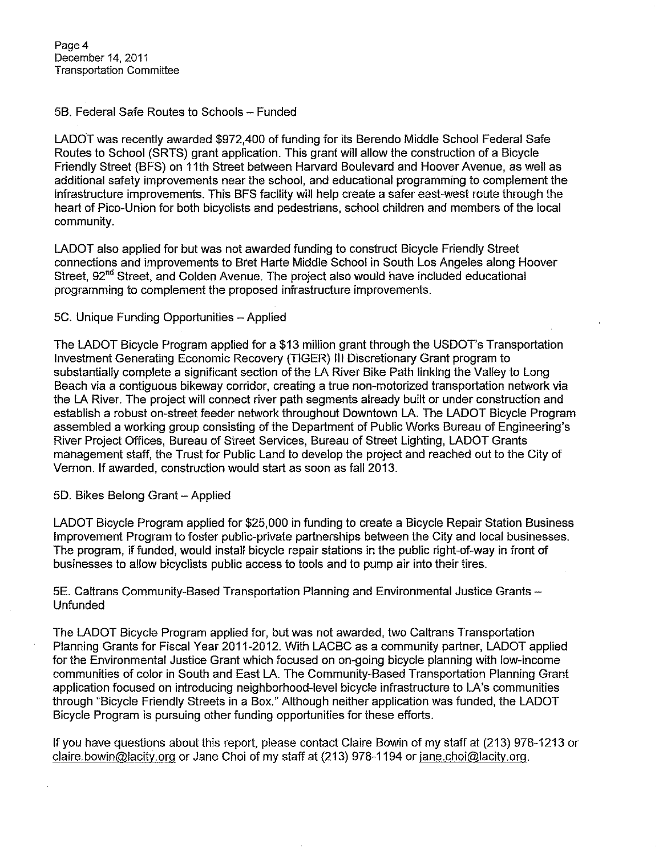Page 4 December 14, 2011 Transportation Committee

### 58. Federal Safe Routes to Schools- Funded

LADOT was recently awarded \$972,400 of funding for its Berendo Middle School Federal Safe Routes to School (SRTS) grant application. This grant will allow the construction of a Bicycle Friendly Street (BFS) on 11th Street between Harvard Boulevard and Hoover Avenue, as well as additional safety improvements near the school, and educational programming to complement the infrastructure improvements. This BFS facility will help create a safer east-west route through the heart of Pico-Union for both bicyclists and pedestrians, school children and members of the local community.

LADOT also applied for but was not awarded funding to construct Bicycle Friendly Street connections and improvements to Bret Harte Middle School in South Los Angeles along Hoover Street, 92<sup>nd</sup> Street, and Colden Avenue. The project also would have included educational programming to complement the proposed infrastructure improvements.

### 5C. Unique Funding Opportunities- Applied

The LADOT Bicycle Program applied for a \$13 million grant through the USDOT's Transportation Investment Generating Economic Recovery (TIGER) Ill Discretionary Grant program to substantially complete a significant section of the LA River Bike Path linking the Valley to Long Beach via a contiguous bikeway corridor, creating a true non-motorized transportation network via the LA River. The project will connect river path segments already built or under construction and establish a robust on-street feeder network throughout Downtown LA. The LADOT Bicycle Program assembled a working group consisting of the Department of Public Works Bureau of Engineering's River Project Offices, Bureau of Street Services, Bureau of Street Lighting, LADOT Grants management staff, the Trust for Public Land to develop the project and reached out to the City of Vernon. If awarded, construction would start as soon as fall 2013.

#### 50. Bikes Belong Grant- Applied

LADOT Bicycle Program applied for \$25,000 in funding to create a Bicycle Repair Station Business Improvement Program to foster public-private partnerships between the City and local businesses. The program, if funded, would install bicycle repair stations in the public right-of-way in front of businesses to allow bicyclists public access to tools and to pump air into their tires.

5E. Caltrans Community-Based Transportation Planning and Environmental Justice Grants-Unfunded

The LADOT Bicycle Program applied for, but was not awarded, two Caltrans Transportation Planning Grants for Fiscal Year 2011-2012. With LACBC as a community partner, LADOT applied for the Environmental Justice Grant which focused on on-going bicycle planning with low-income communities of color in South and East LA. The Community-Based Transportation Planning Grant application focused on introducing neighborhood-level bicycle infrastructure to LA's communities through "Bicycle Friendly Streets in a Box." Although neither application was funded, the LADOT Bicycle Program is pursuing other funding opportunities for these efforts.

If you have questions about this report, please contact Claire Bowin of my staff at (213) 978-1213 or claire.bowin@lacity.org or Jane Choi of my staff at (213) 978-1194 or jane.choi@lacity.org.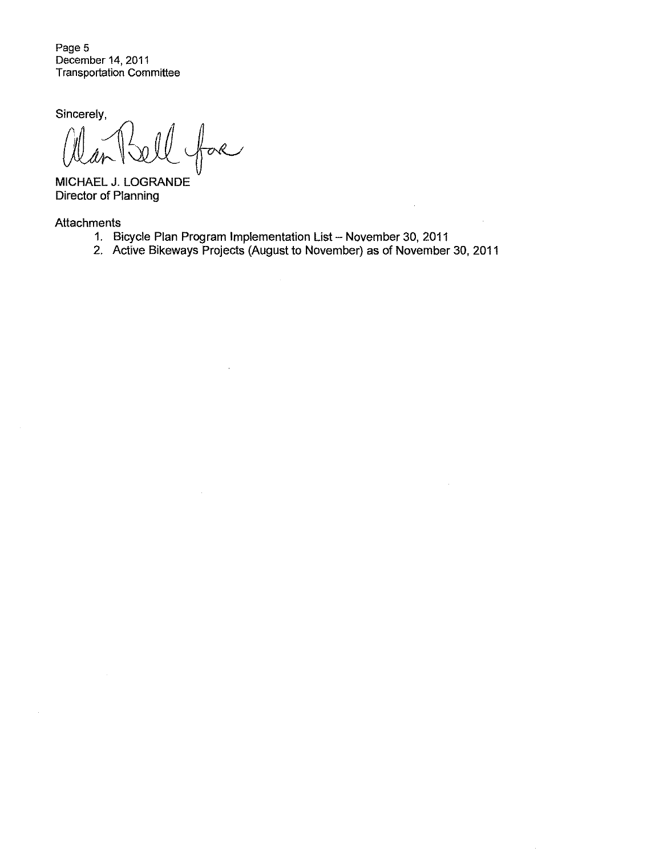Page 5 December 14, 2011 Transportation Committee

Sincerely,

s{M:~~

MICHAEL J. LOGRANDE Director of Planning

**Attachments** 

1. Bicycle Plan Program Implementation List- November 30, 2011

 $\frac{1}{2}$ 

 $\hat{\mathcal{A}}$ 

2. Active Bikeways Projects (August to November) as of November 30, 2011

 $\overline{\phantom{a}}$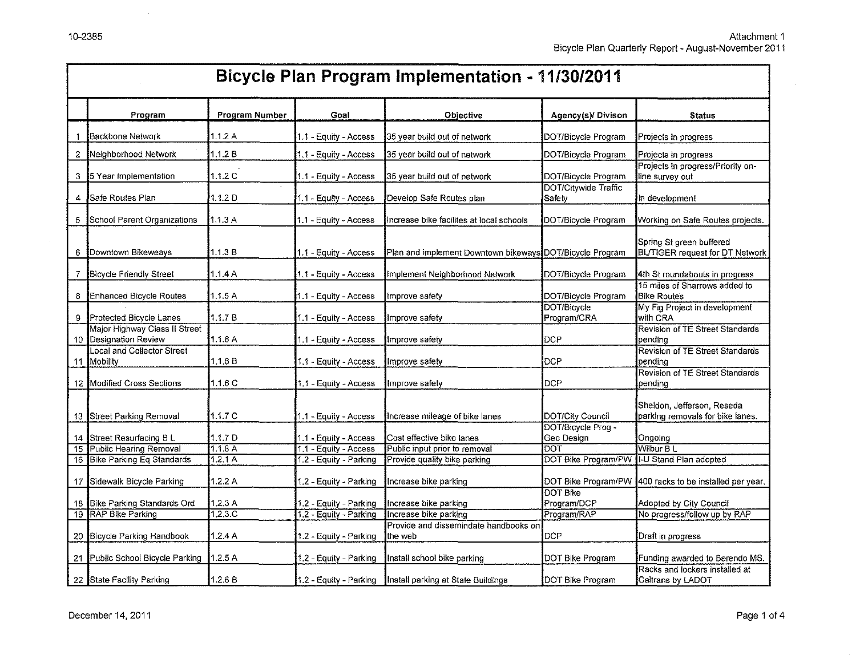$\mathcal{L}$ 

|    | <b>Bicycle Plan Program Implementation - 11/30/2011</b>    |                |                        |                                                          |                                        |                                                             |  |  |  |  |
|----|------------------------------------------------------------|----------------|------------------------|----------------------------------------------------------|----------------------------------------|-------------------------------------------------------------|--|--|--|--|
|    | Program                                                    | Program Number | Goal                   | Objective                                                | Agency(s)/ Divison                     | <b>Status</b>                                               |  |  |  |  |
|    | Backbone Network                                           | 1.1.2A         | 1.1 - Equity - Access  | 35 year build out of network                             | DOT/Bicycle Program                    | Projects in progress                                        |  |  |  |  |
| 2. | Neighborhood Network                                       | 1.1.2 B        | 1.1 - Equity - Access  | 35 year build out of network                             | DOT/Bicycle Program                    | Projects in progress                                        |  |  |  |  |
|    | 3 15 Year Implementation                                   | 1.1.2 C        | 1.1 - Equity - Access  | 35 year build out of network                             | DOT/Bicycle Program                    | Projects in progress/Priority on-<br>line survey out        |  |  |  |  |
| 4  | Safe Routes Plan                                           | 1.1.2 D        | 1.1 - Equity - Access  | Develop Safe Routes plan                                 | DOT/Citywide Traffic<br>Safety         | In development                                              |  |  |  |  |
| 5  | School Parent Organizations                                | 1.1.3A         | 1.1 - Equity - Access  | Increase bike facilites at local schools                 | DOT/Bicycle Program                    | Working on Safe Routes projects.                            |  |  |  |  |
| 6. | Downtown Bikeweays                                         | 1.1.3 B        | 1.1 - Equity - Access  | Plan and implement Downtown bikeways DOT/Bicycle Program |                                        | Spring St green buffered<br>BL/TIGER request for DT Network |  |  |  |  |
| 7. | <b>Bicycle Friendly Street</b>                             | 1.1.4A         | 1.1 - Equity - Access  | Implement Neighborhood Network                           | DOT/Bicycle Program                    | 4th St roundabouts in progress                              |  |  |  |  |
| 8  | Enhanced Bicycle Routes                                    | 1.1.5 A        | 1.1 - Equity - Access  | Improve safety                                           | DOT/Bicycle Program                    | 15 miles of Sharrows added to<br><b>Bike Routes</b>         |  |  |  |  |
| 9  | Protected Bicycle Lanes                                    | 1.1.7B         | 1.1 - Equity - Access  | Improve safety                                           | DOT/Bicycle<br>Program/CRA             | My Fig Project in development<br>with CRA                   |  |  |  |  |
| 10 | Major Highway Class II Street<br><b>Designation Review</b> | 1.1.6A         | 1.1 - Eauity - Access  | Improve safety                                           | DCP                                    | <b>Revision of TE Street Standards</b><br>pending           |  |  |  |  |
|    | Local and Collector Street<br>11 Mobility                  | 1.1.6 B        | 1.1 - Equity - Access  | Improve safety                                           | DCP                                    | Revision of TE Street Standards<br>pendina                  |  |  |  |  |
|    | 12 Modified Cross Sections                                 | 1.1.6C         | 1.1 - Equity - Access  | Improve safety                                           | DCP                                    | Revision of TE Street Standards<br>pending                  |  |  |  |  |
|    |                                                            |                |                        |                                                          |                                        | Sheldon, Jefferson, Reseda                                  |  |  |  |  |
|    | 13 Street Parking Removal                                  | 11.7C          | 1.1 - Equity - Access  | Increase mileage of bike lanes                           | DOT/City Council<br>DOT/Bicycle Prog - | parking removals for bike lanes.                            |  |  |  |  |
|    | 14 Street Resurfacing B L                                  | 1.1.7 D        | 1.1 - Equity - Access  | Cost effective bike lanes                                | Geo Design                             | Ongoina                                                     |  |  |  |  |
| 15 | Public Hearing Removal                                     | 1.1.8A         | 1.1 - Eauity - Access  | Public input prior to removal                            | DOT                                    | Wilbur B L                                                  |  |  |  |  |
|    | 16 Bike Parking Eq Standards                               | 1.2.1A         | 1.2 - Equity - Parking | Provide quality bike parking                             |                                        | DOT Bike Program/PW II-U Stand Plan adopted                 |  |  |  |  |
|    | 17 Sidewalk Bicycle Parking                                | 1.2.2A         | 1.2 - Equity - Parking | Increase bike parking                                    |                                        | DOT Bike Program/PW 1400 racks to be installed per year.    |  |  |  |  |
|    |                                                            |                |                        |                                                          | <b>DOT Bike</b>                        |                                                             |  |  |  |  |
|    | 18 Bike Parking Standards Ord                              | 1.2.3A         | 1.2 - Equity - Parking | Increase bike parking                                    | Program/DCP                            | Adopted by City Council                                     |  |  |  |  |
|    | 19 RAP Bike Parking                                        | 1.2.3C         | 1.2 - Equity - Parking | Increase bike parking                                    | Program/RAP                            | No progress/follow up by RAP                                |  |  |  |  |
|    | 20 Bicycle Parking Handbook                                | 1.2.4A         | 1.2 - Equity - Parking | Provide and dissemindate handbooks on<br>the web         | <b>DCP</b>                             | Draft in progress                                           |  |  |  |  |
|    | 21 Public School Bicycle Parking                           | 1.2.5 A        | 1.2 - Equity - Parking | Install school bike parking                              | DOT Bike Program                       | Funding awarded to Berendo MS.                              |  |  |  |  |
|    | 22 State Facility Parking                                  | 1.2.6 B        | 1.2 - Equity - Parking | Install parking at State Buildings                       | DOT Bike Program                       | Racks and lockers installed at<br>Caltrans by LADOT         |  |  |  |  |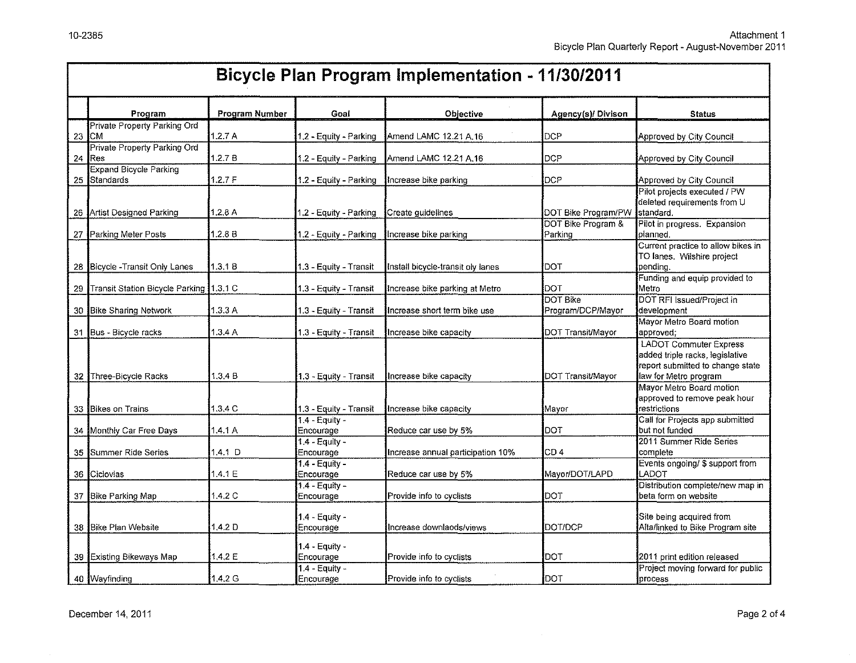|    | <b>Bicycle Plan Program Implementation - 11/30/2011</b> |                       |                               |                                   |                                      |                                                                                                                               |  |  |
|----|---------------------------------------------------------|-----------------------|-------------------------------|-----------------------------------|--------------------------------------|-------------------------------------------------------------------------------------------------------------------------------|--|--|
|    | Program                                                 | <b>Program Number</b> | Goal                          | Objective                         | Agency(s)/ Divison                   | <b>Status</b>                                                                                                                 |  |  |
| 23 | Private Property Parking Ord<br>ICM.                    | 1.2.7 A               | 1.2 - Equity - Parking        | Amend LAMC 12.21 A.16             | DCP                                  | Approved by City Council                                                                                                      |  |  |
| 24 | <b>Private Property Parking Ord</b><br>IRes             | 1.2.7 B               | 1.2 - Equity - Parking        | Amend LAMC 12.21 A.16             | <b>DCP</b>                           | Approved by City Council                                                                                                      |  |  |
|    | <b>Expand Bicycle Parking</b><br>25 Standards           | 1.2.7 F               | 1.2 - Equity - Parking        | Increase bike parking             | <b>DCP</b>                           | Approved by City Council                                                                                                      |  |  |
|    | 26 Artist Designed Parking                              | 1.2.8 A               | 1.2 - Equity - Parking        | Create guidelines                 | DOT Bike Program/PW                  | Pilot projects executed / PW<br>deleted requirements from U<br>standard.                                                      |  |  |
|    | 27 Parking Meter Posts                                  | 1.2.8 B               | 1.2 - Equity - Parking        | Increase bike parking             | DOT Bike Program &<br>Parking        | Pilot in progress. Expansion<br>planned.                                                                                      |  |  |
|    | 28 Bicycle - Transit Only Lanes                         | 1.3.1 B               | 1.3 - Equity - Transit        | Install bicycle-transit oly lanes | DOT                                  | Current practice to allow bikes in<br>TO lanes. Wilshire project<br>pending.                                                  |  |  |
|    | 29 Transit Station Bicycle Parking 1.3.1 C              |                       | 1.3 - Equity - Transit        | Increase bike parking at Metro    | DOT                                  | Funding and equip provided to<br>Metro                                                                                        |  |  |
|    | 30 Bike Sharing Network                                 | 1.3.3A                | 1.3 - Equity - Transit        | Increase short term bike use      | <b>DOT Bike</b><br>Program/DCP/Mayor | DOT RFI Issued/Project in<br>development                                                                                      |  |  |
|    | 31 Bus - Bicycle racks                                  | 1.3.4 A               | 1.3 - Equity - Transit        | Increase bike capacity            | DOT Transit/Mayor                    | Mayor Metro Board motion<br>approved;                                                                                         |  |  |
|    | 32 Three-Bicycle Racks                                  | 1.3.4B                | 1.3 - Equity - Transit        | Increase bike capacity            | DOT Transit/Mayor                    | <b>LADOT Commuter Express</b><br>added triple racks, legislative<br>report submitted to change state<br>law for Metro program |  |  |
|    | 33 Bikes on Trains                                      | 1.3.4C                | 1.3 - Equity - Transit        | Increase bike capacity            | Mavor                                | Mayor Metro Board motion<br>approved to remove peak hour<br>restrictions                                                      |  |  |
|    | 34 Monthly Car Free Days                                | 1.4.1 A               | $1.4 -$ Equity -<br>Encourage | Reduce car use by 5%              | DOT                                  | Call for Projects app submitted<br>but not funded                                                                             |  |  |
|    | 35 Summer Ride Series                                   | $1.4.1$ D             | 1.4 - Equity -<br>Encourage   | Increase annual participation 10% | CD 4.                                | 2011 Summer Ride Series<br>complete                                                                                           |  |  |
|    | 36 Ciclovias                                            | 1.4.1 E               | $1.4 -$ Equity -<br>Encourage | Reduce car use by 5%              | Mayor/DOT/LAPD                       | Events ongoing/ \$ support from<br>LADOT                                                                                      |  |  |
|    | 37 Bike Parking Map                                     | 1.4.2C                | $1.4 -$ Equity -<br>Encourage | Provide info to cyclists          | DOT                                  | Distribution complete/new map in<br>beta form on website                                                                      |  |  |
|    | 38 Bike Plan Website                                    | 1.4.2 <sub>D</sub>    | 1.4 - Equity -<br>Encourage   | Increase downlaods/views          | DOT/DCP                              | Site being acquired from<br>Alta/linked to Bike Program site                                                                  |  |  |
|    | 39 Existing Bikeways Map                                | 1.4.2 E               | 1.4 - Equity -<br>Encourage   | Provide info to cyclists          | DOT                                  | 2011 print edition released                                                                                                   |  |  |
|    | 40 Wayfinding                                           | 1.4.2 G               | 1.4 - Equity -<br>Encourage   | Provide info to cyclists          | DOT                                  | Project moving forward for public<br>process                                                                                  |  |  |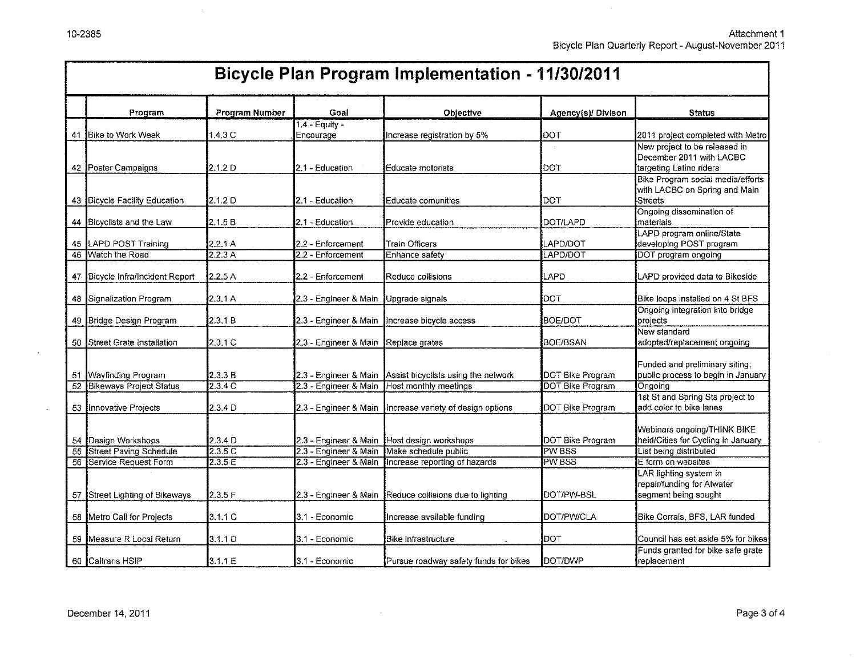Attachment 1 Bicycle Plan Quarterly Report- August-November 2011

|  | <b>Ricycle Plan Program Implementation - 11/30/2011</b> |  |
|--|---------------------------------------------------------|--|

|                 | Program                          | Program Number     | Goal                                 | Objective                                                 | Agency(s)/ Divison      | <b>Status</b>                               |
|-----------------|----------------------------------|--------------------|--------------------------------------|-----------------------------------------------------------|-------------------------|---------------------------------------------|
|                 | 41 Bike to Work Week             | $1,4,3$ C          | 1.4 - Equity -<br>Encourage          | Increase registration by 5%                               | DOT                     | 2011 project completed with Metro           |
|                 |                                  |                    |                                      |                                                           |                         | New project to be released in               |
|                 |                                  |                    |                                      |                                                           |                         | December 2011 with LACBC                    |
|                 | 42 Poster Campaigns              | 2.1.2 D            | 2.1 - Education                      | Educate motorists                                         | DOT                     | targeting Latino riders                     |
|                 |                                  |                    |                                      |                                                           |                         | Bike Program social media/efforts           |
|                 |                                  |                    |                                      |                                                           |                         | with LACBC on Spring and Main               |
|                 | 43 Bicycle Facility Education    | 2.1.2 D            | 2.1 - Education                      | Educate comunities                                        | DOT                     | Streets<br>Ongoing dissemination of         |
| 44              | Bicyclists and the Law           | 2.1.5 B            | 2.1 - Education                      | Provide education                                         | DOT/LAPD                | materials                                   |
|                 |                                  |                    |                                      |                                                           |                         | LAPD program online/State                   |
|                 | 45 LAPD POST Training            | 2.2.1A             | 2.2 - Enforcement                    | <b>Train Officers</b>                                     | LAPD/DOT                | developing POST program                     |
| 46              | Watch the Road                   | 2.2.3A             | 2.2 - Enforcement                    | Enhance safety                                            | LAPD/DOT                | DOT program ongoing                         |
|                 |                                  |                    |                                      |                                                           |                         |                                             |
|                 | 47 Bicycle Infra/Incident Report | 2.2.5A             | 2.2 - Enforcement                    | Reduce collisions                                         | LAPD                    | LAPD provided data to Bikeside              |
|                 |                                  |                    |                                      |                                                           |                         |                                             |
|                 | 48 Signalization Program         | 2.3.1 A            | 2.3 - Engineer & Main                | Upgrade signals                                           | DOT                     | Bike loops installed on 4 St BFS            |
| 49              | Bridge Design Program            | 2.3.1 B            |                                      | 2.3 - Engineer & Main Increase bicycle access             | <b>BOE/DOT</b>          | Ongoing integration into bridge<br>projects |
|                 |                                  |                    |                                      |                                                           |                         | New standard                                |
|                 | 50 Street Grate Installation     | 2.3.1 C            | 2.3 - Engineer & Main Replace grates |                                                           | BOE/BSAN                | adopted/replacement ongoing                 |
|                 |                                  |                    |                                      |                                                           |                         |                                             |
|                 |                                  |                    |                                      |                                                           |                         | Funded and preliminary siting;              |
|                 | 51 Wayfinding Program            | 2.3.3 B            |                                      | 2.3 - Engineer & Main Assist bicyclists using the network | DOT Bike Program        | public process to begin in January          |
| 52              | <b>Bikeways Project Status</b>   | 2.3.4C             |                                      | 2.3 - Engineer & Main Host monthly meetings               | <b>DOT Bike Program</b> | Ongoing                                     |
|                 |                                  |                    |                                      |                                                           |                         | 1st St and Spring Sts project to            |
|                 | 53 Innovative Projects           | 2.3.4 D            |                                      | 2.3 - Engineer & Main Increase variety of design options  | DOT Bike Program        | add color to bike lanes                     |
|                 |                                  |                    |                                      |                                                           |                         | Webinars ongoing/THINK BIKE                 |
|                 | 54 Design Workshops              | 2.3.4 <sub>D</sub> |                                      | 2.3 - Engineer & Main Host design workshops               | DOT Bike Program        | held/Cities for Cycling in January          |
| $\overline{55}$ | Street Paving Schedule           | 2.3.5C             | 2.3 - Engineer & Main                | Make schedule public                                      | <b>PW BSS</b>           | List being distributed                      |
|                 | 56 Service Request Form          | 2.3.5 E            | 2.3 - Engineer & Main                | Increase reporting of hazards                             | <b>PW BSS</b>           | E form on websites                          |
|                 |                                  |                    |                                      |                                                           |                         | LAR lighting system in                      |
|                 |                                  |                    |                                      |                                                           |                         | repair/funding for Atwater                  |
|                 | 57 Street Lighting of Bikeways   | 2.3.5F             | 2.3 - Engineer & Main                | Reduce collisions due to lighting                         | Dot/PW-BSL              | segment being sought                        |
|                 |                                  |                    |                                      |                                                           |                         |                                             |
|                 | 58 Metro Call for Projects       | 3.1.1C             | 3.1 - Economic                       | Increase available funding                                | <b>DOT/PW/CLA</b>       | Bike Corrals, BFS, LAR funded               |
|                 | 59 Measure R Local Return        | 3.1.1 D            | 3.1 - Economic                       | Bike infrastructure                                       | DOT                     | Council has set aside 5% for bikes          |
|                 |                                  |                    |                                      |                                                           |                         | Funds granted for bike safe grate           |
|                 | 60 Caltrans HSIP                 | 3.1.1 E            | 3.1 - Economic                       | Pursue roadway safety funds for bikes                     | DOT/DWP                 | replacement                                 |

 $\alpha$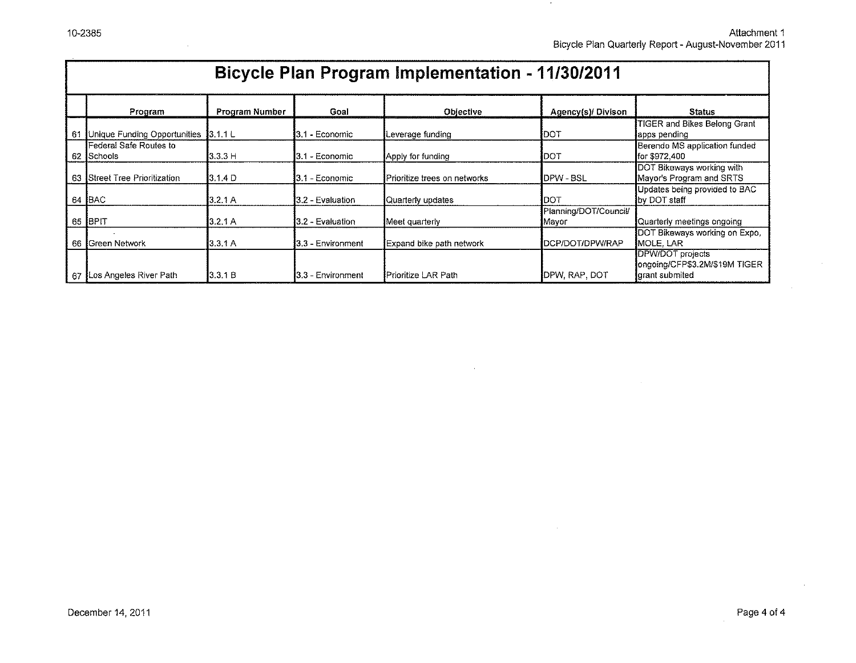Attachment 1 Bicycle Plan Quarterly Report- August-November 2011

 $\rightarrow$ 

|                                         | <b>Bicycle Plan Program Implementation - 11/30/2011</b>                               |          |                            |                              |                                |                                                                     |  |  |  |  |  |  |
|-----------------------------------------|---------------------------------------------------------------------------------------|----------|----------------------------|------------------------------|--------------------------------|---------------------------------------------------------------------|--|--|--|--|--|--|
|                                         | Program Number<br>Goal<br>Agency(s)/ Divison<br><b>Status</b><br>Program<br>Objective |          |                            |                              |                                |                                                                     |  |  |  |  |  |  |
| 61                                      | Unique Funding Opportunities                                                          | 3.1.1 L  | l3.1 - Economic            | Leverage funding             | <b>IDOT</b>                    | TIGER and Bikes Belong Grant<br>lapps pending                       |  |  |  |  |  |  |
| Federal Safe Routes to<br>Schools<br>62 |                                                                                       | 3.3.3 H  | 3.1 - Economic             | Apply for funding            | DOT                            | Berendo MS application funded<br> for \$972.400                     |  |  |  |  |  |  |
| 63                                      | <b>Street Tree Prioritization</b>                                                     | 13.1.4 D | <b>I</b> 3.1 - Economic    | Prioritize trees on networks | <b>IDPW - BSL</b>              | DOT Bikeways working with<br>Mayor's Program and SRTS               |  |  |  |  |  |  |
| 64                                      | <b>BAC</b>                                                                            | 3.2.1 A  | <b>1</b> 3.2 - Evaluation  | Quarterly updates            | IDOT                           | Updates being provided to BAC<br>by DOT staff                       |  |  |  |  |  |  |
| 65                                      | BPIT                                                                                  | 3.2.1 A  | 3.2 - Evaluation           | Meet quarterly               | Planning/DOT/Council/<br>Mayor | Quarterly meetings ongoing                                          |  |  |  |  |  |  |
| 66                                      | Green Network                                                                         | 3.3.1 A  | 13.3 - Environment         | Expand bike path network     | IDCP/DOT/DPW/RAP               | DOT Bikeways working on Expo,<br><b>I</b> MOLE. LAR                 |  |  |  |  |  |  |
|                                         | 67 ILos Angeles River Path                                                            | 3.3.1 B  | <b>1</b> 3.3 - Environment | Prioritize LAR Path          | <b>IDPW, RAP, DOT</b>          | DPW/DOT projects<br>ongoing/CFP\$3.2M/\$19M TIGER<br>grant submited |  |  |  |  |  |  |

 $\mathcal{L}^{\pm}$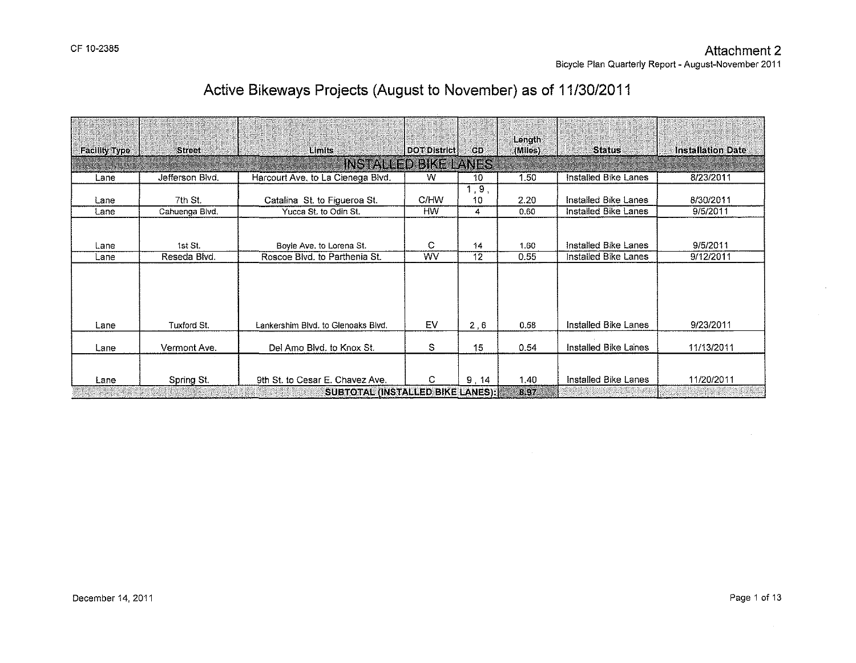|                      |                 |                                                                     |                     |            | Length           |                      |                          |
|----------------------|-----------------|---------------------------------------------------------------------|---------------------|------------|------------------|----------------------|--------------------------|
| <b>Facility Type</b> | <b>Street</b>   | Limits                                                              | <b>DOT District</b> | CD         | (Miles)          | <b>Status</b>        | <b>Installation Date</b> |
|                      |                 | INSTALLED BIKE LANES                                                |                     |            |                  |                      |                          |
| Lane                 | Jefferson Blvd. | Harcourt Ave, to La Cienega Blvd.                                   | W                   | 10         | 1.50             | Installed Bike Lanes | 8/23/2011                |
| Lane                 | 7th St.         | Catalina St. to Figueroa St.                                        | C/HW                | 1,9,<br>10 | 2.20             | Installed Bike Lanes | 8/30/2011                |
| Lane                 | Cahuenga Blvd.  | Yucca St. to Odin St.                                               | <b>HW</b>           | 4          | 0.60             | Installed Bike Lanes | 9/5/2011                 |
| Lane                 | 1st St.         | Boyle Ave, to Lorena St.                                            | С                   | 14         | 1.60             | Installed Bike Lanes | 9/5/2011                 |
| Lane                 | Reseda Blvd.    | Roscoe Blvd, to Parthenia St.                                       | WV                  | 12         | 0.55             | Installed Bike Lanes | 9/12/2011                |
| Lane                 | Tuxford St.     | Lankershim Blvd, to Glenoaks Blvd,                                  | EV                  | 2,6        | 0.58             | Installed Bike Lanes | 9/23/2011                |
| Lane                 | Vermont Ave.    | Del Amo Blvd, to Knox St.                                           | s                   | 15         | 0.54             | Installed Bike Lanes | 11/13/2011               |
| Lane                 | Spring St.      | 9th St. to Cesar E. Chavez Ave.<br>SURTOTAL (INSTALLED BIKE) ANES): | C                   | 9.14       | 1.40<br>$R$ $97$ | Installed Bike Lanes | 11/20/2011               |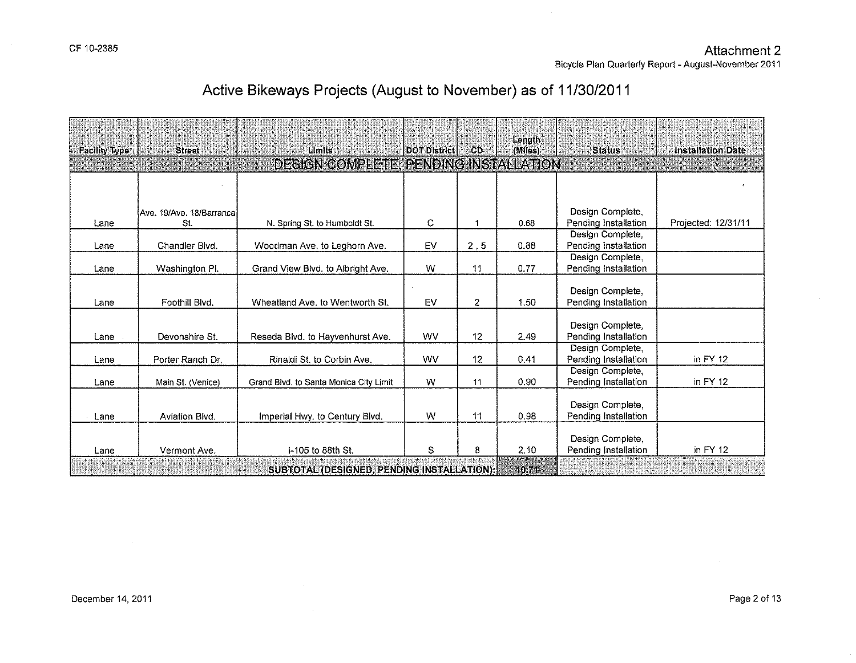$\sim$ 

 $\mathcal{A}^{\mathcal{A}}$ 

# **Active Bikeways Projects (August to November) as of 11/30/2011**

| <b>Facility Type</b> | <b>Street</b>             | Limits                                     | <b>DOT District</b> | <b>CD</b>      | Longth<br>(Miles) | <b>Status</b>                            | <b>Installation Date</b> |
|----------------------|---------------------------|--------------------------------------------|---------------------|----------------|-------------------|------------------------------------------|--------------------------|
|                      |                           | DESIGN COMPLETE PENDING INSTALLATION       |                     |                |                   |                                          |                          |
|                      |                           |                                            |                     |                |                   |                                          |                          |
|                      |                           |                                            |                     |                |                   |                                          |                          |
|                      | Ave. 19/Ave. 18/Barrancal |                                            |                     |                |                   | Design Complete,                         |                          |
| Lane                 | St.                       | N. Spring St. to Humboldt St.              | C                   | 1              | 0.68              | Pending Installation                     | Projected: 12/31/11      |
|                      |                           |                                            |                     |                |                   | Design Complete,                         |                          |
| Lane                 | Chandler Blvd.            | Woodman Ave. to Leghorn Ave.               | EV                  | 2, 5           | 0.88              | Pending Installation                     |                          |
|                      |                           |                                            |                     |                |                   | Design Complete,                         |                          |
| Lane                 | Washington Pl.            | Grand View Blvd. to Albright Ave.          | W                   | 11             | 0.77              | Pending Installation                     |                          |
|                      |                           |                                            |                     |                |                   |                                          |                          |
|                      |                           |                                            |                     |                |                   | Design Complete,                         |                          |
| Lane                 | Foothill Blvd.            | Wheatland Ave. to Wentworth St.            | EV                  | $\overline{2}$ | 1.50              | Pending Installation                     |                          |
|                      |                           |                                            |                     |                |                   |                                          |                          |
| Lane                 | Devonshire St.            | Reseda Blvd. to Hayvenhurst Ave.           | <b>WV</b>           | 12             | 2.49              | Design Complete,<br>Pending Installation |                          |
|                      |                           |                                            |                     |                |                   | Design Complete,                         |                          |
| Lane                 | Porter Ranch Dr.          | Rinaldi St. to Corbin Ave.                 | <b>WV</b>           | 12             | 0.41              | Pending Installation                     | in $FY$ 12               |
|                      |                           |                                            |                     |                |                   | Design Complete,                         |                          |
| Lane                 | Main St. (Venice)         | Grand Blvd, to Santa Monica City Limit     | W                   | 11             | 0.90              | Pending Installation                     | in FY 12                 |
|                      |                           |                                            |                     |                |                   |                                          |                          |
|                      |                           |                                            |                     |                |                   | Design Complete,                         |                          |
| Lane                 | Aviation Blvd.            | Imperial Hwy. to Century Blvd.             | W                   | $+1$           | 0.98              | Pending Installation                     |                          |
|                      |                           |                                            |                     |                |                   |                                          |                          |
|                      |                           |                                            |                     |                |                   | Design Complete,                         |                          |
| Lane                 | Vermont Ave.              | I-105 to 88th St.                          | S                   | 8              | 2.10              | Pending Installation                     | in FY 12                 |
|                      |                           | SUBTOTAL (DESIGNED, PENDING INSTALLATION); |                     |                | 40,741            |                                          |                          |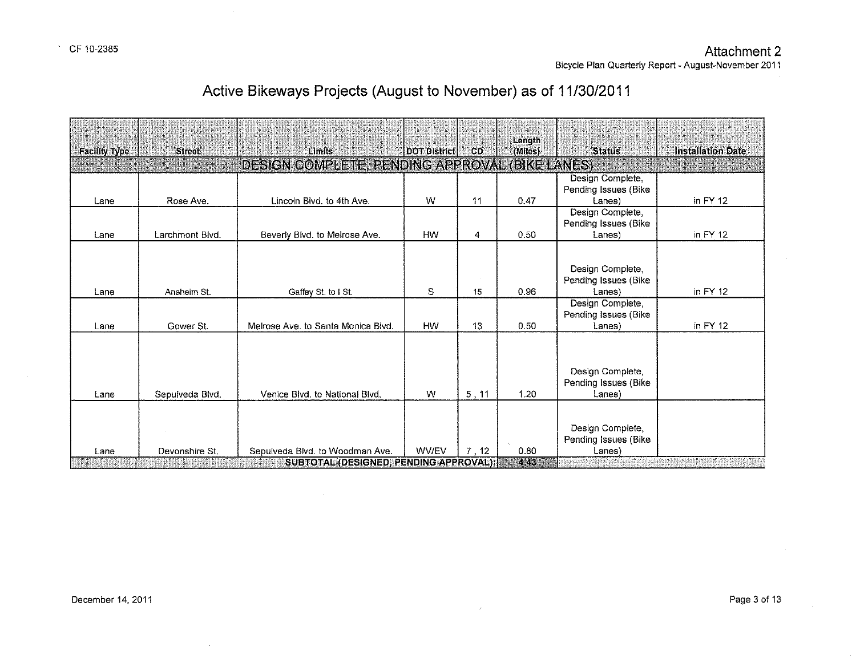$\mathcal{A}$ 

| Active Bikeways Projects (August to November) as of 11/30/2011 |
|----------------------------------------------------------------|
|----------------------------------------------------------------|

| DESIGN COMPLETE, PENDING APPROVAL.<br>(BIKE LANES)<br>Design Complete,<br>Pending Issues (Bike<br>in $FY$ 12<br>W<br>11<br>0.47<br>Rose Ave.<br>Lincoln Blvd, to 4th Ave.<br>Lanes)<br>Lane<br>Design Complete,<br>Pending Issues (Bike<br><b>HW</b><br>Larchmont Blvd.<br>0.50<br>in $FY$ 12<br>Beverly Blvd. to Melrose Ave.<br>4<br>Lane<br>Lanes)<br>Design Complete,<br>Pending Issues (Bike<br>S<br>0.96<br>in $FY$ 12<br>Lanes)<br>Anaheim St.<br>Gaffey St. to I St.<br>15<br>Lane<br>Design Complete,<br>Pending Issues (Bike<br>in $FY$ 12<br>Gower St.<br>Melrose Ave. to Santa Monica Blvd.<br><b>HW</b><br>13<br>0.50<br>Lanes)<br>Lane<br>Design Complete,<br>Pending Issues (Bike<br>W<br>5, 11<br>1.20<br>Lanes)<br>Sepulveda Blvd.<br>Venice Blvd, to National Blvd.<br>Lane<br>Design Complete, |                      | <b>Street</b> | Limits | DOT District | <b>CD</b> | Length  | <b>Status</b>        | <b>Installation Date</b> |
|-------------------------------------------------------------------------------------------------------------------------------------------------------------------------------------------------------------------------------------------------------------------------------------------------------------------------------------------------------------------------------------------------------------------------------------------------------------------------------------------------------------------------------------------------------------------------------------------------------------------------------------------------------------------------------------------------------------------------------------------------------------------------------------------------------------------|----------------------|---------------|--------|--------------|-----------|---------|----------------------|--------------------------|
|                                                                                                                                                                                                                                                                                                                                                                                                                                                                                                                                                                                                                                                                                                                                                                                                                   | <b>Facility Type</b> |               |        |              |           | (Miles) |                      |                          |
|                                                                                                                                                                                                                                                                                                                                                                                                                                                                                                                                                                                                                                                                                                                                                                                                                   |                      |               |        |              |           |         |                      |                          |
|                                                                                                                                                                                                                                                                                                                                                                                                                                                                                                                                                                                                                                                                                                                                                                                                                   |                      |               |        |              |           |         |                      |                          |
|                                                                                                                                                                                                                                                                                                                                                                                                                                                                                                                                                                                                                                                                                                                                                                                                                   |                      |               |        |              |           |         |                      |                          |
|                                                                                                                                                                                                                                                                                                                                                                                                                                                                                                                                                                                                                                                                                                                                                                                                                   |                      |               |        |              |           |         |                      |                          |
|                                                                                                                                                                                                                                                                                                                                                                                                                                                                                                                                                                                                                                                                                                                                                                                                                   |                      |               |        |              |           |         |                      |                          |
| <b>WV/EV</b><br>7.12<br>0.80<br>Devonshire St.<br>Sepulveda Blvd. to Woodman Ave.<br>Lanes)<br>Lane<br>SUBTOTAL (DESIGNED) PENDING APPROVAL):<br>7.QK                                                                                                                                                                                                                                                                                                                                                                                                                                                                                                                                                                                                                                                             |                      |               |        |              |           |         | Pending Issues (Bike |                          |

 $\mathcal{L}$ 

 $\sim$ 

 $\mathcal{L}$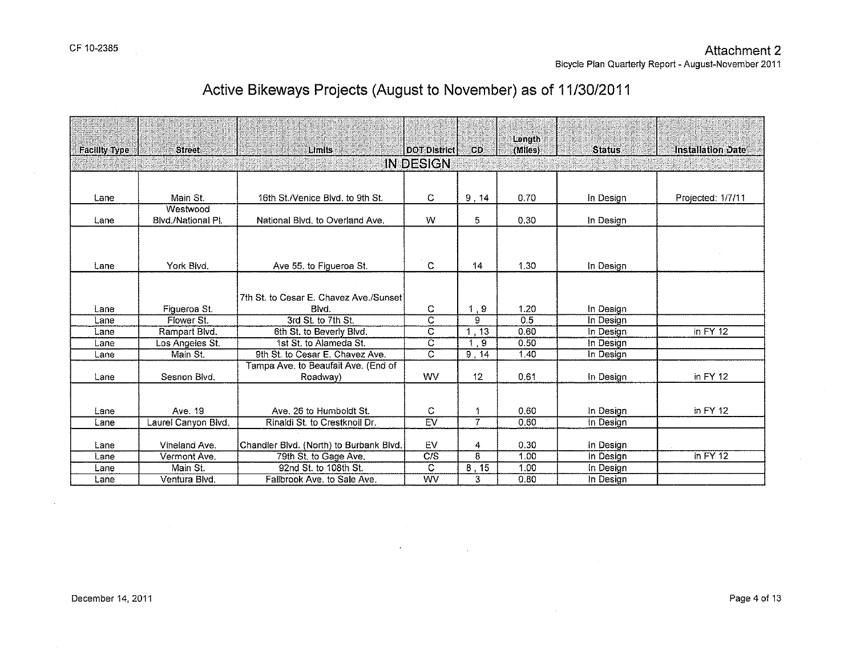|                      |                               |                                                |                         |                 | Length       |                        |                          |
|----------------------|-------------------------------|------------------------------------------------|-------------------------|-----------------|--------------|------------------------|--------------------------|
| <b>Facility Type</b> | <b>Street</b>                 | Limits                                         | <b>DOT District</b>     | CD              | (Miles)      | <b>Status</b>          | <b>Installation Date</b> |
|                      |                               |                                                | IN DESIGN               |                 |              |                        |                          |
|                      |                               |                                                |                         |                 |              |                        |                          |
| Lane                 | Main St.                      | 16th St./Venice Blvd. to 9th St.               | C.                      | 9,14            | 0.70         | In Design              | Projected: 1/7/11        |
|                      | Westwood                      |                                                |                         |                 |              |                        |                          |
| Lane                 | Blvd./National PI.            | National Blvd, to Overland Ave.                | W                       | 5               | 0.30         | In Design              |                          |
|                      |                               |                                                |                         |                 |              |                        |                          |
|                      |                               |                                                |                         |                 |              |                        |                          |
|                      |                               |                                                |                         |                 |              |                        |                          |
| Lane                 | York Blvd.                    | Ave 55, to Figueroa St.                        | $\mathbf C$             | 14              | 1.30         | In Design              |                          |
|                      |                               |                                                |                         |                 |              |                        |                          |
|                      |                               | 7th St. to Cesar E. Chavez Ave./Sunset         |                         |                 |              |                        |                          |
| Lane                 | Figueroa St.                  | Blvd.                                          | C                       | 1, 9            | 1.20         | In Design              |                          |
| Lane                 | Flower St.                    | 3rd St. to 7th St.                             | $\overline{C}$          | 9               | 0.5          | In Design              |                          |
| Lane                 | Rampart Blvd.                 | 6th St. to Beverly Blvd.                       | $\overline{\mathsf{c}}$ | 1, 13           | 0.60         | In Design              | in $FY$ 12               |
| Lane                 | Los Angeles St.               | 1st St. to Alameda St.                         | $\overline{\text{c}}$   | 1, 9            | 0.50         | In Design              |                          |
| Lane                 | Main St.                      | 9th St. to Cesar E. Chavez Ave.                | $\overline{\text{c}}$   | 9, 14           | 1,40         | In Design              |                          |
|                      |                               | Tampa Ave. to Beaufait Ave. (End of            |                         |                 |              |                        |                          |
| Lane                 | Sesnon Blvd.                  | Roadway)                                       | <b>WV</b>               | 12 <sup>°</sup> | 0.61         | In Design              | in $FY$ 12               |
|                      |                               |                                                |                         |                 |              |                        |                          |
|                      |                               |                                                |                         |                 |              |                        |                          |
| Lane                 | Ave. 19                       | Ave. 26 to Humboldt St.                        | C                       |                 | 0.60         | In Design              | in FY 12                 |
| Lane                 | Laurel Canyon Blvd.           | Rinaldi St. to Crestknoll Dr.                  | EV                      | $\overline{7}$  | 0.60         | In Design              |                          |
|                      |                               |                                                |                         |                 |              |                        |                          |
| Lane                 | Vineland Ave.<br>Vermont Ave. | Chandler Blvd. (North) to Burbank Blvd.        | EV<br>C/S               | 4<br>8          | 0.30<br>1.00 | In Design              | in $FY$ 12               |
| Lane                 | Main St.                      | 79th St. to Gage Ave.<br>92nd St. to 108th St. | $\overline{\mathsf{c}}$ |                 | 1,00         | In Design<br>In Design |                          |
| Lane<br>Lane         | Ventura Blvd.                 | Fallbrook Ave. to Sale Ave.                    | WV                      | 8, 15<br>3      | 0.80         | In Design              |                          |
|                      |                               |                                                |                         |                 |              |                        |                          |

 $\mathcal{L}$ 

 $\mathcal{L}$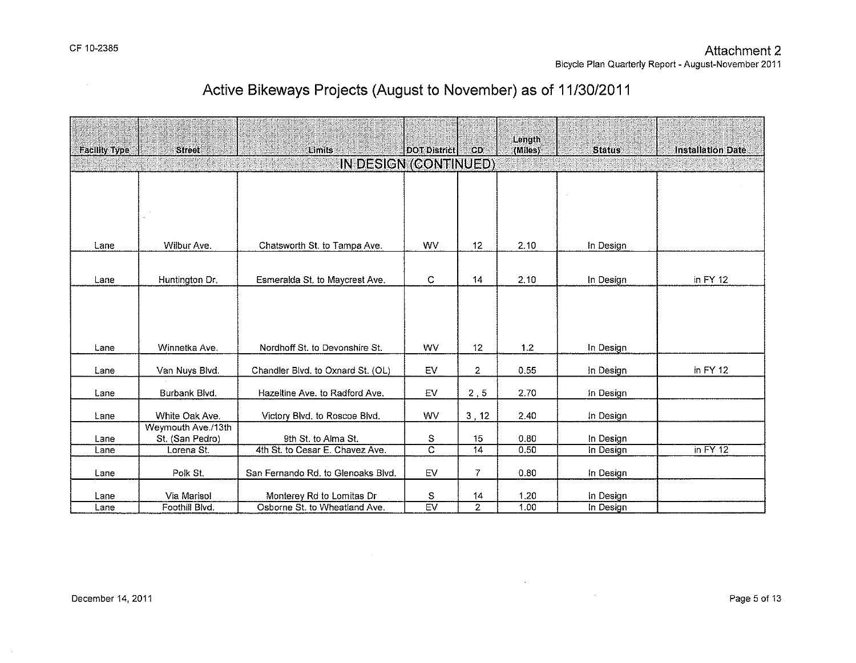| <b>Facility Type</b> | <b>Street</b>      | Limits                             | <b>DOT District</b> | CD.             | Length<br>(Miles) | <b>Status</b> | <b>Installation Date</b> |
|----------------------|--------------------|------------------------------------|---------------------|-----------------|-------------------|---------------|--------------------------|
|                      |                    | IN DESIGN (CONTINUED)              |                     |                 |                   |               |                          |
|                      |                    |                                    |                     |                 |                   |               |                          |
|                      |                    |                                    |                     |                 |                   |               |                          |
|                      |                    |                                    |                     |                 |                   |               |                          |
|                      |                    |                                    |                     |                 |                   |               |                          |
|                      |                    |                                    |                     |                 |                   |               |                          |
| Lane                 | Wilbur Ave.        | Chatsworth St. to Tampa Ave.       | <b>WV</b>           | 12              | 2.10              | In Design     |                          |
|                      |                    |                                    |                     |                 |                   |               |                          |
| Lane                 | Huntington Dr.     | Esmeralda St. to Maycrest Ave.     | C                   | $\overline{14}$ | 2,10              | In Design     | in $FY$ 12               |
|                      |                    |                                    |                     |                 |                   |               |                          |
|                      |                    |                                    |                     |                 |                   |               |                          |
|                      |                    |                                    |                     |                 |                   |               |                          |
|                      |                    |                                    |                     |                 |                   |               |                          |
| Lane                 | Winnetka Ave.      | Nordhoff St. to Devonshire St.     | WV                  | 12              | 1.2               | In Design     |                          |
|                      |                    |                                    |                     |                 |                   |               |                          |
| Lane                 | Van Nuys Blvd.     | Chandler Blvd. to Oxnard St. (OL)  | EV                  | 2               | 0.55              | In Design     | in $FY$ 12               |
|                      |                    |                                    |                     |                 |                   |               |                          |
| Lane                 | Burbank Blvd.      | Hazeltine Ave. to Radford Ave.     | EV                  | 2, 5            | 2.70              | In Design     |                          |
| Lane                 | White Oak Ave.     | Victory Blvd. to Roscoe Blvd.      | WV                  | 3, 12           | 2.40              | In Design     |                          |
|                      | Weymouth Ave./13th |                                    |                     |                 |                   |               |                          |
| Lane                 | St. (San Pedro)    | 9th St. to Alma St.                | $\mathbb S$         | 15              | 0.80              | In Design     |                          |
| Lane                 | Lorena St.         | 4th St. to Cesar E. Chavez Ave.    | $\overline{c}$      | 14              | 0.50              | In Design     | in $FY$ 12               |
|                      |                    |                                    |                     |                 |                   |               |                          |
| Lane                 | Polk St.           | San Fernando Rd. to Glenoaks Blvd. | EV                  | 7               | 0.80              | In Design     |                          |
| Lane                 | Via Marisol        | Monterey Rd to Lomitas Dr          | ${\mathbb S}$       | 14              | 1.20              | In Design     |                          |
| Lane                 | Foothill Blvd.     | Osborne St. to Wheatland Ave.      | EV                  | $\overline{2}$  | 1.00              | In Design     |                          |

 $\sim 10^{-1}$ 

 $\mathcal{L}^{\text{max}}_{\text{max}}$  and  $\mathcal{L}^{\text{max}}_{\text{max}}$ 

# **Active Bikeways Projects (August to November) as of 11/30/2011**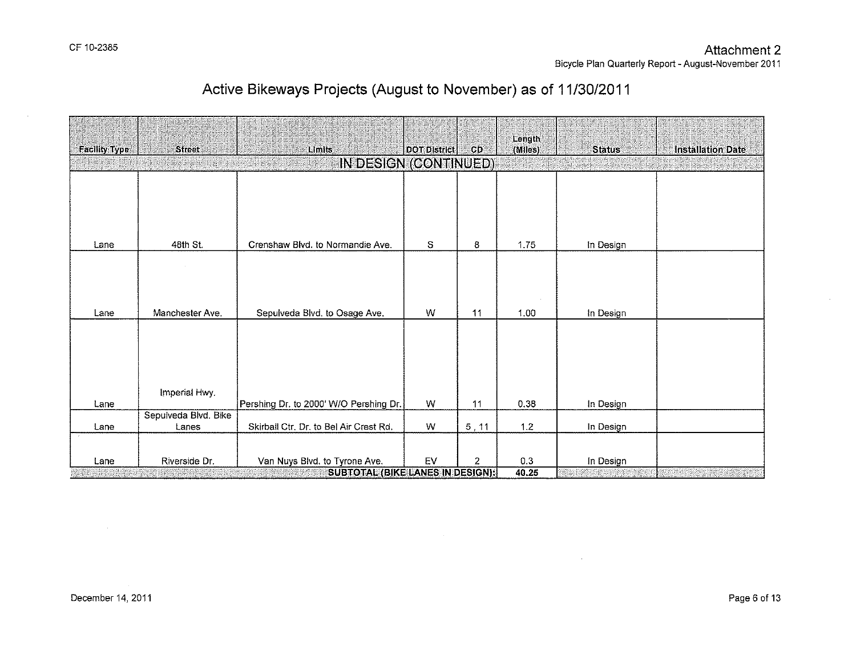$\sim$ 

## **Active Bikeways Projects (August to November) as of 11/30/2011**

| <b>Facility Type</b> | <b>Street</b>                                    | Limits                                 | DOT District | CD.   | Length<br>(Miles) | <b>Status</b> | <b>Installation Date</b> |  |  |  |
|----------------------|--------------------------------------------------|----------------------------------------|--------------|-------|-------------------|---------------|--------------------------|--|--|--|
|                      |                                                  | IN DESIGN (CONTINUED)                  |              |       |                   |               |                          |  |  |  |
|                      |                                                  |                                        |              |       |                   |               |                          |  |  |  |
|                      |                                                  |                                        |              |       |                   |               |                          |  |  |  |
|                      |                                                  |                                        |              |       |                   |               |                          |  |  |  |
|                      |                                                  |                                        |              |       |                   |               |                          |  |  |  |
| Lane                 | 48th St.                                         | Crenshaw Blvd. to Normandie Ave.       | S            | 8     | 1.75              | In Design     |                          |  |  |  |
|                      |                                                  |                                        |              |       |                   |               |                          |  |  |  |
|                      |                                                  |                                        |              |       |                   |               |                          |  |  |  |
|                      |                                                  |                                        |              |       |                   |               |                          |  |  |  |
| Lane                 | Manchester Ave.                                  | Sepulveda Blvd. to Osage Ave.          | W            | 11    | 1.00              | In Design     |                          |  |  |  |
|                      |                                                  |                                        |              |       |                   |               |                          |  |  |  |
|                      |                                                  |                                        |              |       |                   |               |                          |  |  |  |
|                      |                                                  |                                        |              |       |                   |               |                          |  |  |  |
|                      |                                                  |                                        |              |       |                   |               |                          |  |  |  |
|                      | Imperial Hwy.                                    |                                        |              |       |                   |               |                          |  |  |  |
| Lane                 |                                                  | Pershing Dr. to 2000' W/O Pershing Dr. | W            | 11    | 0.38              | In Design     |                          |  |  |  |
| Lane                 | Sepulveda Blvd. Bike<br>Lanes                    | Skirball Ctr. Dr. to Bel Air Crest Rd. | W            | 5, 11 | 1.2               | In Design     |                          |  |  |  |
|                      |                                                  |                                        |              |       |                   |               |                          |  |  |  |
|                      |                                                  |                                        |              |       |                   |               |                          |  |  |  |
| Lane                 | Riverside Dr.                                    | Van Nuys Blvd. to Tyrone Ave.          | EV           | 2     | 0.3               | In Design     |                          |  |  |  |
|                      | <b>SUBTOTAL (BIKE LANES IN DESIGN):</b><br>40.25 |                                        |              |       |                   |               |                          |  |  |  |

 $\sim 100$  km s  $^{-1}$ 

 $\sim 10^{11}$  km s  $^{-1}$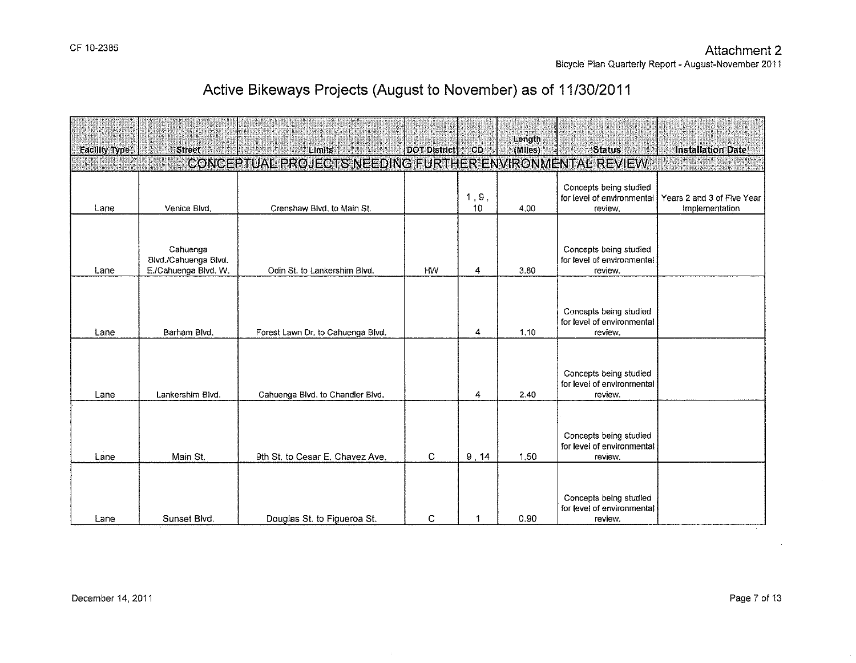| <b>Facility Type</b> | <b>Street</b>                                            | Limits                                            | DOT District | CD.         | Length<br>(Miles) | <b>Status</b>                                                   | <b>Installation Date</b>                     |
|----------------------|----------------------------------------------------------|---------------------------------------------------|--------------|-------------|-------------------|-----------------------------------------------------------------|----------------------------------------------|
|                      |                                                          | CONCEPTUAL PROJECTS NEEDING FURTHER ENVIRONMENTAL |              |             |                   | <b>REVIEW</b>                                                   |                                              |
| Lane                 | Venice Blvd.                                             | Crenshaw Blvd. to Main St.                        |              | 1, 9,<br>10 | 4.00              | Concepts being studied<br>for level of environmental<br>review. | Years 2 and 3 of Five Year<br>Implementation |
| Lane                 | Cahuenga<br>Blvd./Cahuenga Blvd.<br>E./Cahuenga Blvd. W. | Odin St. to Lankershim Blvd.                      | <b>HW</b>    | 4           | 3.80              | Concepts being studied<br>for level of environmental<br>review. |                                              |
| Lane                 | Barham Blvd.                                             | Forest Lawn Dr. to Cahuenga Blvd.                 |              | 4           | 1.10              | Concepts being studied<br>for level of environmental<br>review. |                                              |
| Lane                 | Lankershim Blvd.                                         | Cahuenga Blvd, to Chandler Blvd.                  |              | 4           | 2.40              | Concepts being studied<br>for level of environmental<br>review. |                                              |
| Lane                 | Main St.                                                 | 9th St, to Cesar E, Chavez Ave.                   | C            | 9,14        | 1.50              | Concepts being studied<br>for level of environmental<br>review. |                                              |
| Lane                 | Sunset Blvd.                                             | Douglas St. to Figueroa St.                       | C            | 1           | 0.90              | Concepts being studied<br>for level of environmental<br>review. |                                              |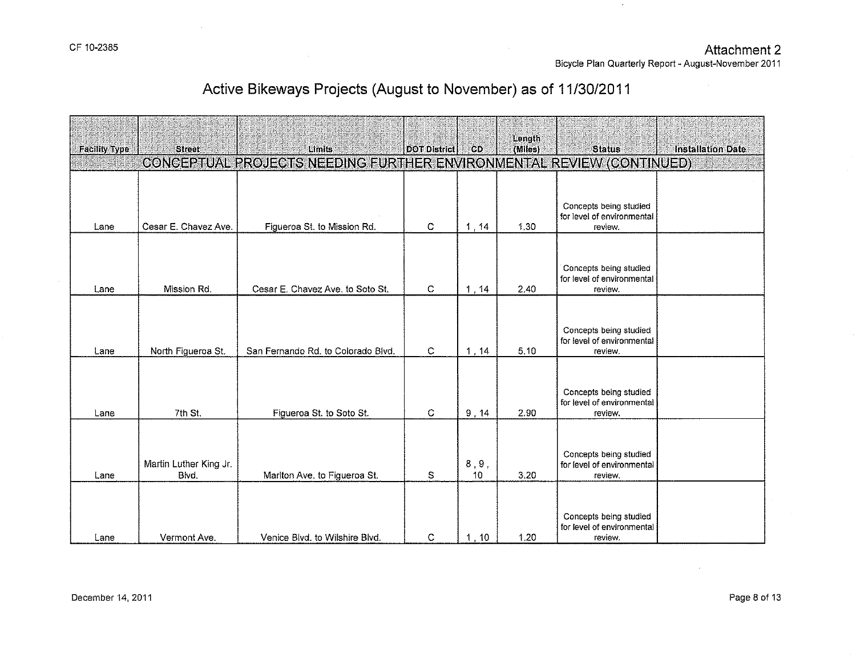$\mathcal{L}^{\mathcal{L}}$ 

Bicycle Plan Quarterly Report- August-November 2011

 $\sim 10^7$ 

 $\sim$ 

| <b>Facility Type</b> | <b>Street</b>                   | Limits                                                               | DOT District | CD                        | Length<br>(Miles) | <b>Status</b>                                                   | <b>Installation Date</b> |
|----------------------|---------------------------------|----------------------------------------------------------------------|--------------|---------------------------|-------------------|-----------------------------------------------------------------|--------------------------|
|                      |                                 | CONCEPTUAL PROJECTS NEEDING FURTHER ENVIRONMENTAL REVIEW (CONTINUED) |              |                           |                   |                                                                 |                          |
| Lane                 | Cesar E. Chavez Ave.            | Figueroa St. to Mission Rd.                                          | C            | 1, 14                     | 1.30              | Concepts being studied<br>for level of environmental<br>review. |                          |
| Lane                 | Mission Rd.                     | Cesar E. Chavez Ave. to Soto St.                                     | C            | 1, 14                     | 2.40              | Concepts being studied<br>for level of environmental<br>review. |                          |
| Lane                 | North Figueroa St.              | San Fernando Rd. to Colorado Blvd.                                   | C            | 1, 14                     | 5.10              | Concepts being studied<br>for level of environmental<br>review. |                          |
| Lane                 | 7th St.                         | Figueroa St. to Soto St.                                             | C            | 9, 14                     | 2.90              | Concepts being studied<br>for level of environmental<br>review. |                          |
| Lane                 | Martin Luther King Jr.<br>Blvd. | Marlton Ave. to Figueroa St.                                         | S            | $\bf 8$ , $\bf 9$ ,<br>10 | 3.20              | Concepts being studied<br>for level of environmental<br>review. |                          |
| Lane                 | Vermont Ave.                    | Venice Blvd. to Wilshire Blvd.                                       | С            | 1, 10                     | 1.20              | Concepts being studied<br>for level of environmental<br>review. |                          |

 $\hat{\theta}$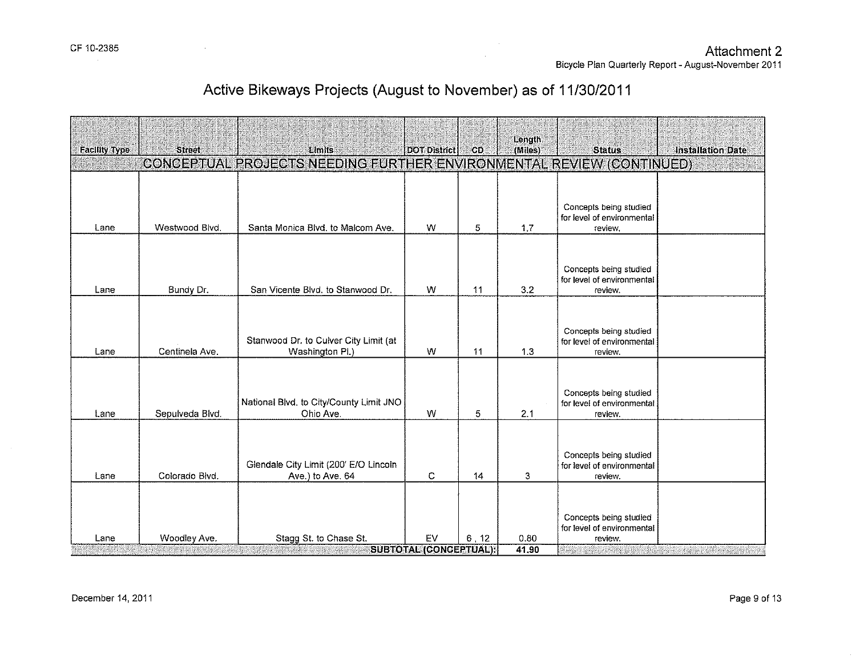Bicycle Plan Quarterly Report- August-November 2011

# Active Bikeways Projects (August to November) as of 11/30/2011

| <b>Facility Type</b> | <b>Street</b>   | Limits                                                               | <b>DOT District</b>           | <b>CD</b> | Length<br>(Miles) | <b>Status</b>                                                   | <b>Installation Date</b> |
|----------------------|-----------------|----------------------------------------------------------------------|-------------------------------|-----------|-------------------|-----------------------------------------------------------------|--------------------------|
|                      |                 | CONCEPTUAL PROJECTS NEEDING FURTHER ENVIRONMENTAL REVIEW (CONTINUED) |                               |           |                   |                                                                 |                          |
|                      |                 |                                                                      |                               |           |                   | Concepts being studied<br>for level of environmental            |                          |
| Lane                 | Westwood Blvd.  | Santa Monica Blvd. to Malcom Ave.                                    | W                             | 5         | 1,7               | review.                                                         |                          |
| Lane                 | Bundy Dr.       | San Vicente Blvd, to Stanwood Dr.                                    | w                             | 11        | 3,2               | Concepts being studied<br>for level of environmental<br>review. |                          |
|                      |                 |                                                                      |                               |           |                   |                                                                 |                          |
| Lane                 | Centinela Ave.  | Stanwood Dr. to Culver City Limit (at<br>Washington Pl.)             | W                             | 11        | 1.3               | Concepts being studied<br>for level of environmental<br>review. |                          |
| Lane                 | Sepulveda Blvd. | National Blvd. to City/County Limit JNO<br>Ohio Ave.                 | W                             | 5         | 2.1               | Concepts being studied<br>for level of environmental<br>review. |                          |
| Lane                 | Colorado Blvd.  | Glendale City Limit (200' E/O Lincoln<br>Ave.) to Ave. 64            | C                             | 14        | 3                 | Concepts being studied<br>for level of environmental<br>review. |                          |
|                      |                 |                                                                      |                               |           | 0.80              | Concepts being studied<br>for level of environmental            |                          |
| Lane                 | Woodley Ave.    | Stagg St. to Chase St.                                               | EV<br>SUBTOTAL (CONCEPTUAL) { | 6, 12     | 41.90             | review.<br>etaalanana                                           |                          |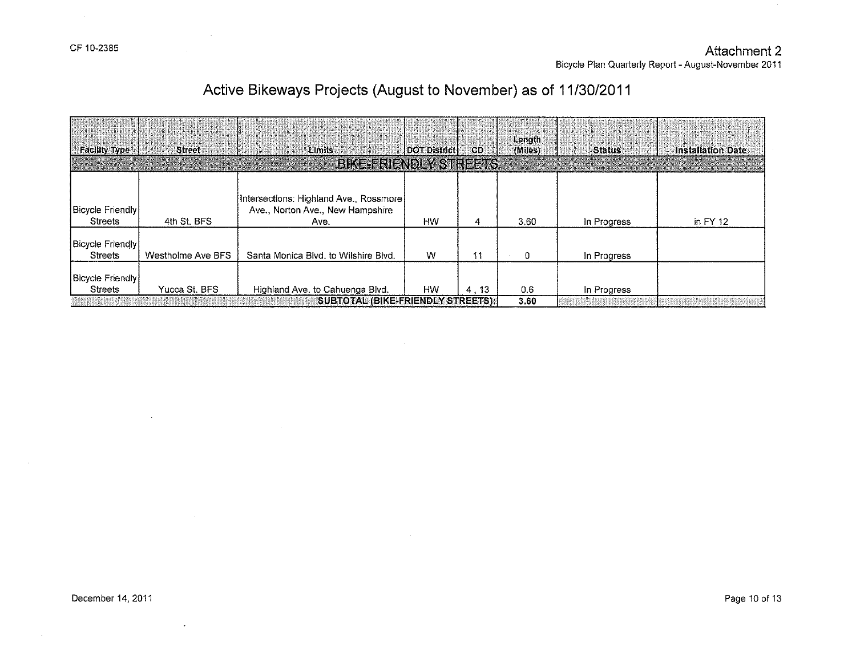$\sim 10$ 

# **Active Bikeways Projects (August to November) as of 11/30/2011**

| <b>Facility Type</b>                      | <b>Street</b>     | Limits                                                                               | <b>DOT District</b> | <b>CD</b> | Length<br>(Miles) | <b>Status</b>             | <b>Installation Date</b> |
|-------------------------------------------|-------------------|--------------------------------------------------------------------------------------|---------------------|-----------|-------------------|---------------------------|--------------------------|
|                                           |                   | <b>BIKEFRIENDLY STREETS</b>                                                          |                     |           |                   |                           |                          |
| Bicycle Friendly<br><b>Streets</b>        | 4th St. BFS       | [Intersections: Highland Ave., Rossmore]<br>Ave., Norton Ave., New Hampshire<br>Ave. | <b>HW</b>           | 4         | 3.60              | In Progress               | in $FY$ 12               |
| <b>Bicycle Friendly</b><br><b>Streets</b> | Westholme Ave BFS | Santa Monica Blvd, to Wilshire Blvd.                                                 | W                   | 11        | O.                | In Progress               |                          |
| <b>Bicycle Friendly</b><br><b>Streets</b> | Yucca St. BFS     | Highland Ave. to Cahuenga Blvd.                                                      | <b>HW</b>           | 4, 13     | 0.6               | In Progress               |                          |
|                                           |                   | SUBTOTAL (BIKE-FRIENDLY STREETS))                                                    |                     |           | 3.60              | <b>ARRAHANANG MANGYAR</b> |                          |

 $\mathcal{L}$ 

 $\ddot{\phantom{a}}$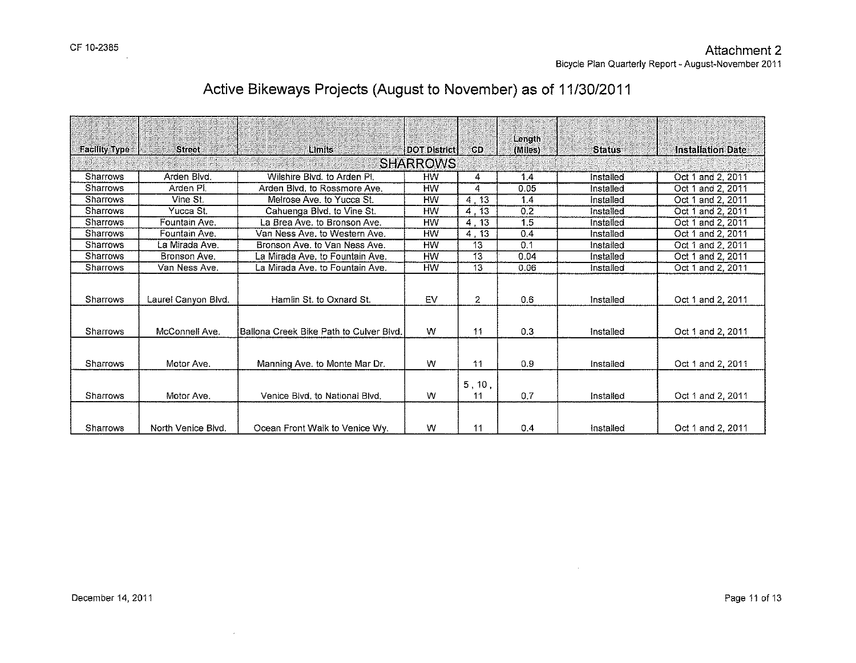| <b>Facility Type</b> | <b>Street</b>       | Limits                                  | DOT District | CD                    | Length<br>(Miles) | <b>Status</b> | <b>Installation Date</b> |  |  |  |  |
|----------------------|---------------------|-----------------------------------------|--------------|-----------------------|-------------------|---------------|--------------------------|--|--|--|--|
|                      | <b>SHARROWS</b>     |                                         |              |                       |                   |               |                          |  |  |  |  |
| Sharrows             | Arden Blvd.         | Wilshire Blvd, to Arden Pl.             | <b>HW</b>    | 4                     | 1.4               | Installed     | Oct 1 and 2, 2011        |  |  |  |  |
| Sharrows             | Arden Pl.           | Arden Blvd, to Rossmore Ave.            | <b>HW</b>    | 4                     | 0.05              | Installed     | Oct 1 and 2, 2011        |  |  |  |  |
| Sharrows             | Vine St.            | Melrose Ave, to Yucca St.               | HW           | 4,13                  | 1.4               | Installed     | Oct 1 and 2, 2011        |  |  |  |  |
| Sharrows             | Yucca St.           | Cahuenga Blvd. to Vine St.              | <b>HW</b>    | 4, 13                 | 0.2               | Installed     | Oct 1 and 2, 2011        |  |  |  |  |
| Sharrows             | Fountain Ave.       | La Brea Ave. to Bronson Ave.            | <b>HVV</b>   | 4, 13                 | 1.5               | Installed     | Oct 1 and 2, 2011        |  |  |  |  |
| Sharrows             | Fountain Ave.       | Van Ness Ave, to Western Ave.           | <b>HW</b>    | 4, 13                 | 0.4               | Installed     | Oct 1 and 2, 2011        |  |  |  |  |
| Sharrows             | La Mirada Ave.      | Bronson Ave. to Van Ness Ave.           | <b>HW</b>    | 13                    | 0.1               | Installed     | Oct 1 and 2, 2011        |  |  |  |  |
| Sharrows             | Bronson Ave.        | La Mirada Ave. to Fountain Ave.         | HW           | 13                    | 0.04              | Installed     | Oct 1 and 2, 2011        |  |  |  |  |
| <b>Sharrows</b>      | Van Ness Ave.       | La Mirada Ave. to Fountain Ave.         | <b>HW</b>    | 13                    | 0.06              | Installed     | Oct 1 and 2, 2011        |  |  |  |  |
| Sharrows             | Laurel Canyon Blvd. | Hamlin St. to Oxnard St.                | EV           | $\mathbf{2}^{\prime}$ | 0.6               | Installed     | Oct 1 and 2, 2011        |  |  |  |  |
| Sharrows             | McConnell Ave.      | Ballona Creek Bike Path to Culver Blvd. | W            | 11                    | 0.3               | Installed     | Oct 1 and 2, 2011        |  |  |  |  |
| Sharrows             | Motor Ave.          | Manning Ave. to Monte Mar Dr.           | w            | 11                    | 0.9               | Installed     | Oct 1 and 2, 2011        |  |  |  |  |
| <b>Sharrows</b>      | Motor Ave.          | Venice Blvd, to National Blvd.          | W            | 5, 10,<br>11          | 0.7               | Installed     | Oct 1 and 2, 2011        |  |  |  |  |
| Sharrows             | North Venice Blvd.  | Ocean Front Walk to Venice Wy.          | w            | 11                    | 0.4               | Installed     | Oct 1 and 2, 2011        |  |  |  |  |

 $\sim 100$ 

 $\mathcal{A}$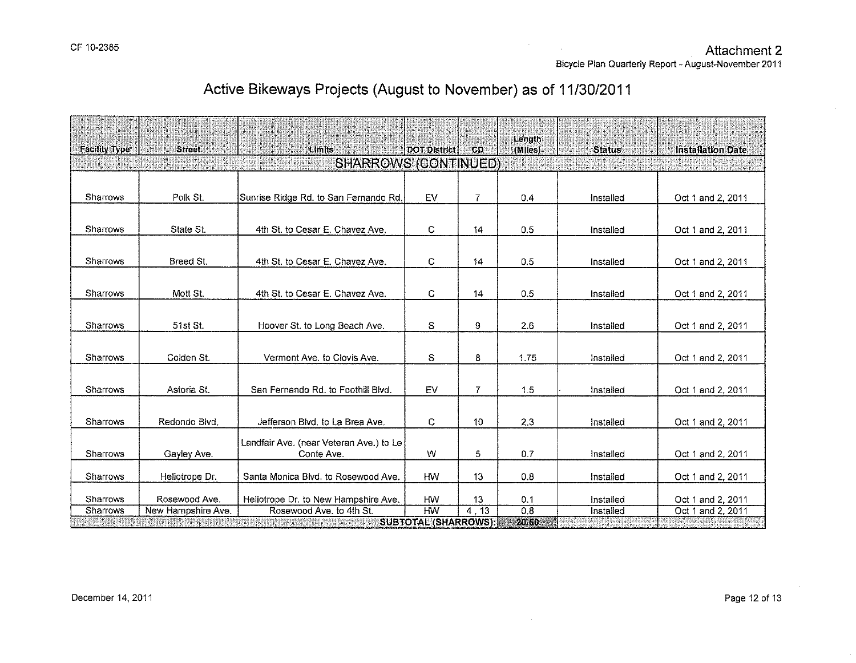Bicycle Plan Quarterly Report- August-November 2011

# Active Bikeways Projects (August to November) as of 11/30/2011

| <b>Facility Type</b>        | <b>Street</b>      | Limits                                                | DOT District                             | CD.            | Length<br>(Miles) | <b>Status</b> | <b>Installation Date</b> |  |  |
|-----------------------------|--------------------|-------------------------------------------------------|------------------------------------------|----------------|-------------------|---------------|--------------------------|--|--|
| <b>SHARROWS (CONTINUED)</b> |                    |                                                       |                                          |                |                   |               |                          |  |  |
|                             |                    |                                                       |                                          |                |                   |               |                          |  |  |
| <b>Sharrows</b>             | Polk St.           | Sunrise Ridge Rd. to San Fernando Rd.                 | EV                                       | 7              | 0,4               | Installed     | Oct 1 and 2, 2011        |  |  |
| Sharrows                    | State St.          | 4th St. to Cesar E. Chavez Ave.                       | С                                        | $\vert$ 4      | 0.5               | Installed     | Oct 1 and 2, 2011        |  |  |
| Sharrows                    | Breed St.          | 4th St. to Cesar E. Chavez Ave.                       | С                                        | 14             | 0.5               | Installed     | Oct 1 and 2, 2011        |  |  |
| Sharrows                    | Mott St.           | 4th St. to Cesar E. Chavez Ave.                       | C                                        | 14             | 0.5               | Installed     | Oct 1 and 2, 2011        |  |  |
| Sharrows                    | 51st St.           | Hoover St. to Long Beach Ave.                         | $\mathbb S$                              | 9              | 2,6               | Installed     | Oct 1 and 2, 2011        |  |  |
| Sharrows                    | Colden St.         | Vermont Ave. to Clovis Ave.                           | S                                        | 8              | 1.75              | Installed     | Oct 1 and 2, 2011        |  |  |
| Sharrows                    | Astoria St.        | San Fernando Rd. to Foothill Blvd.                    | EV                                       | $\overline{7}$ | 1.5               | Installed     | Oct 1 and 2, 2011        |  |  |
| Sharrows                    | Redondo Blvd.      | Jefferson Bivd, to La Brea Ave.                       | C                                        | 10             | 2.3               | Installed     | Oct 1 and 2, 2011        |  |  |
| Sharrows                    | Gayley Ave.        | Landfair Ave. (near Veteran Ave.) to Le<br>Conte Ave. | W                                        | 5              | 0.7               | Installed     | Oct 1 and 2, 2011        |  |  |
| <b>Sharrows</b>             | Heliotrope Dr.     | Santa Monica Blvd. to Rosewood Ave.                   | HW                                       | 13             | 0.8               | Installed     | Oct 1 and 2, 2011        |  |  |
| Sharrows                    | Rosewood Ave.      | Heliotrope Dr. to New Hampshire Ave.                  | HW                                       | 13             | 0.1               | installed     | Oct 1 and 2, 2011        |  |  |
| Sharrows                    | New Hampshire Ave. | Rosewood Ave. to 4th St.                              | <b>HW</b><br><b>SUBTOTAL (SHARROWS):</b> | 4.13           | 0.8<br>20.50      | Installed     | Oct 1 and 2, 2011        |  |  |